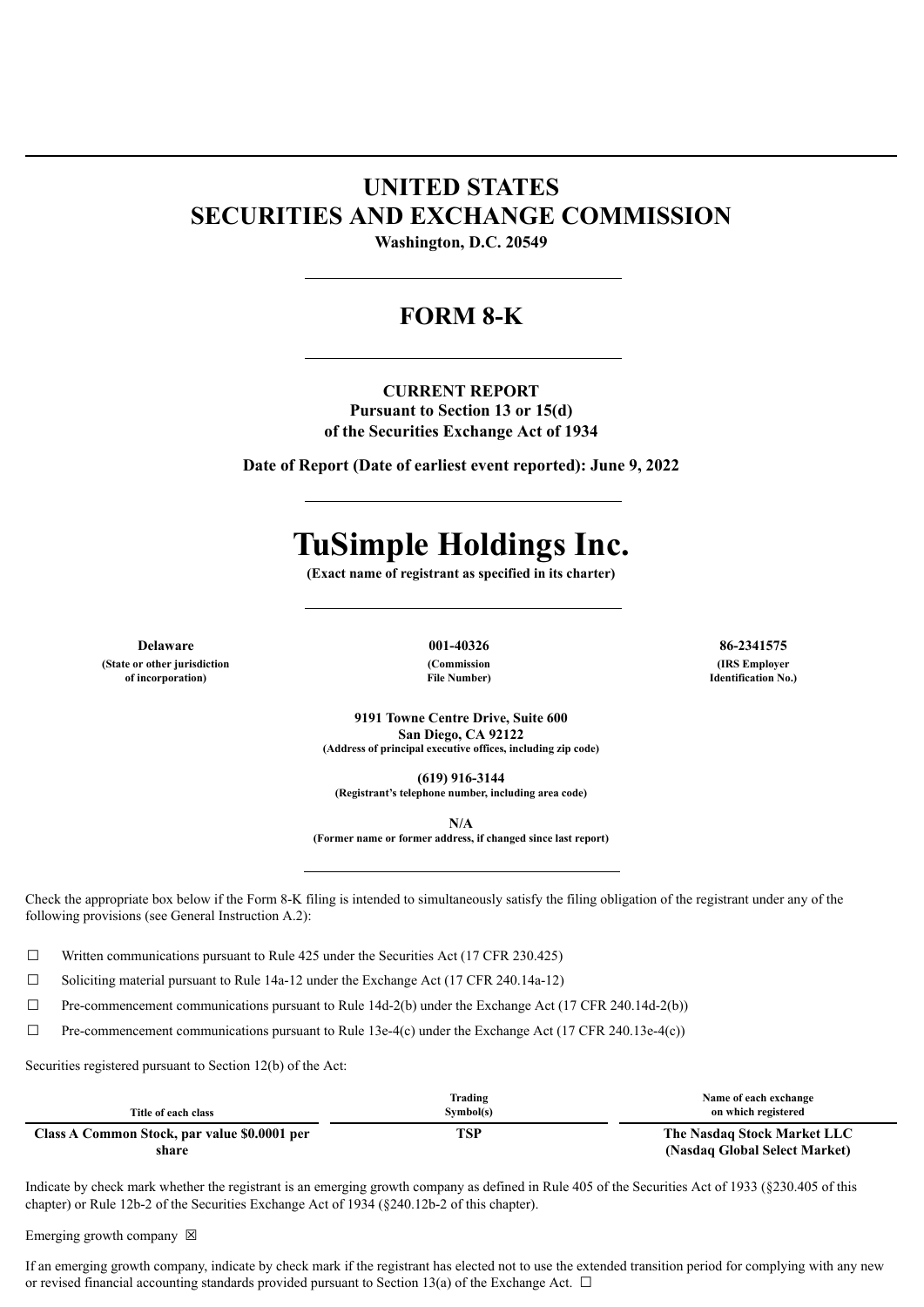## **UNITED STATES SECURITIES AND EXCHANGE COMMISSION**

**Washington, D.C. 20549**

### **FORM 8-K**

**CURRENT REPORT Pursuant to Section 13 or 15(d) of the Securities Exchange Act of 1934**

**Date of Report (Date of earliest event reported): June 9, 2022**

# **TuSimple Holdings Inc.**

**(Exact name of registrant as specified in its charter)**

**(State or other jurisdiction of incorporation)**

**(Commission File Number)**

**Delaware 001-40326 86-2341575 (IRS Employer Identification No.)**

> **9191 Towne Centre Drive, Suite 600 San Diego, CA 92122 (Address of principal executive offices, including zip code)**

> > **(619) 916-3144**

**(Registrant's telephone number, including area code)**

**N/A**

**(Former name or former address, if changed since last report)**

Check the appropriate box below if the Form 8-K filing is intended to simultaneously satisfy the filing obligation of the registrant under any of the following provisions (see General Instruction A.2):

 $\Box$  Written communications pursuant to Rule 425 under the Securities Act (17 CFR 230.425)

 $\Box$  Soliciting material pursuant to Rule 14a-12 under the Exchange Act (17 CFR 240.14a-12)

 $\Box$  Pre-commencement communications pursuant to Rule 14d-2(b) under the Exchange Act (17 CFR 240.14d-2(b))

 $\Box$  Pre-commencement communications pursuant to Rule 13e-4(c) under the Exchange Act (17 CFR 240.13e-4(c))

Securities registered pursuant to Section 12(b) of the Act:

| Title of each class                                   | Trading<br>Symbol(s) | Name of each exchange<br>on which registered                 |
|-------------------------------------------------------|----------------------|--------------------------------------------------------------|
| Class A Common Stock, par value \$0.0001 per<br>share | TSP                  | The Nasdaq Stock Market LLC<br>(Nasdaq Global Select Market) |

Indicate by check mark whether the registrant is an emerging growth company as defined in Rule 405 of the Securities Act of 1933 (§230.405 of this chapter) or Rule 12b-2 of the Securities Exchange Act of 1934 (§240.12b-2 of this chapter).

Emerging growth company  $\boxtimes$ 

If an emerging growth company, indicate by check mark if the registrant has elected not to use the extended transition period for complying with any new or revised financial accounting standards provided pursuant to Section 13(a) of the Exchange Act.  $\Box$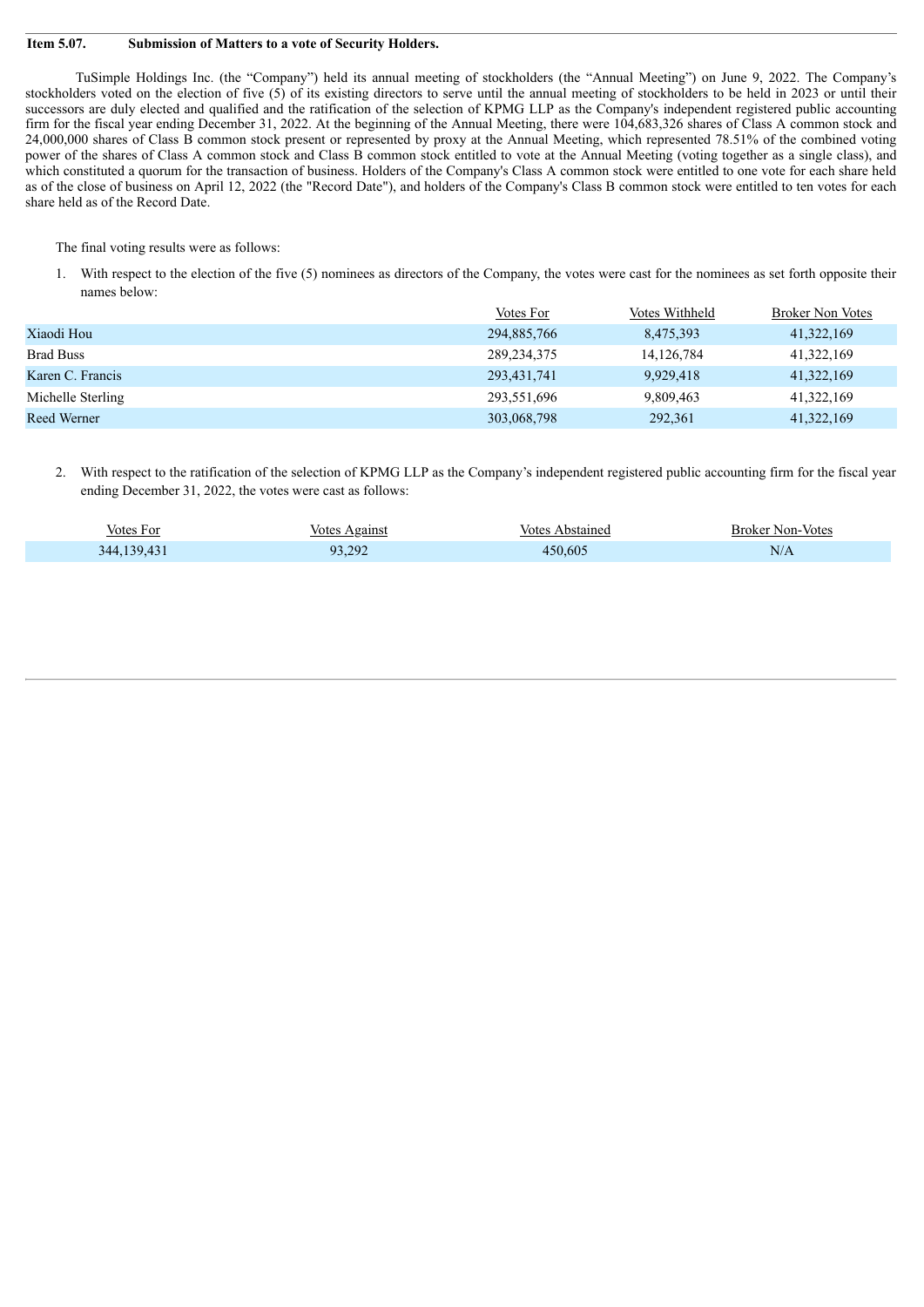#### **Item 5.07. Submission of Matters to a vote of Security Holders.**

TuSimple Holdings Inc. (the "Company") held its annual meeting of stockholders (the "Annual Meeting") on June 9, 2022. The Company's stockholders voted on the election of five (5) of its existing directors to serve until the annual meeting of stockholders to be held in 2023 or until their successors are duly elected and qualified and the ratification of the selection of KPMG LLP as the Company's independent registered public accounting firm for the fiscal year ending December 31, 2022. At the beginning of the Annual Meeting, there were 104,683,326 shares of Class A common stock and 24,000,000 shares of Class B common stock present or represented by proxy at the Annual Meeting, which represented 78.51% of the combined voting power of the shares of Class A common stock and Class B common stock entitled to vote at the Annual Meeting (voting together as a single class), and which constituted a quorum for the transaction of business. Holders of the Company's Class A common stock were entitled to one vote for each share held as of the close of business on April 12, 2022 (the "Record Date"), and holders of the Company's Class B common stock were entitled to ten votes for each share held as of the Record Date.

The final voting results were as follows:

1. With respect to the election of the five (5) nominees as directors of the Company, the votes were cast for the nominees as set forth opposite their names below:

|                   | Votes For     | Votes Withheld | <b>Broker Non Votes</b> |
|-------------------|---------------|----------------|-------------------------|
| Xiaodi Hou        | 294,885,766   | 8,475,393      | 41,322,169              |
| <b>Brad Buss</b>  | 289, 234, 375 | 14, 126, 784   | 41,322,169              |
| Karen C. Francis  | 293,431,741   | 9,929,418      | 41,322,169              |
| Michelle Sterling | 293,551,696   | 9,809,463      | 41,322,169              |
| Reed Werner       | 303,068,798   | 292,361        | 41,322,169              |

2. With respect to the ratification of the selection of KPMG LLP as the Company's independent registered public accounting firm for the fiscal year ending December 31, 2022, the votes were cast as follows:

| Votes For   | Votes Against | Votes Abstained | Broker Non-Votes |
|-------------|---------------|-----------------|------------------|
| 344.139.431 | 93,292        | 450.605         | N/A              |